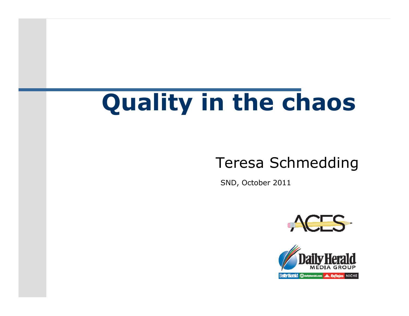# **Quality in the chaos**

#### Teresa Schmedding

SND, October 2011



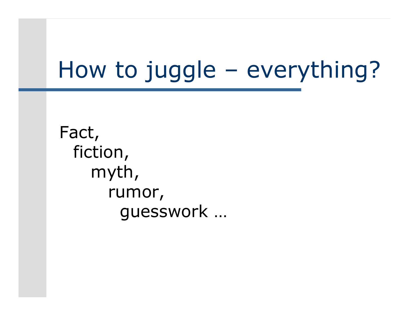## How to juggle – everything?

Fact, fiction, myth,rumor,guesswork …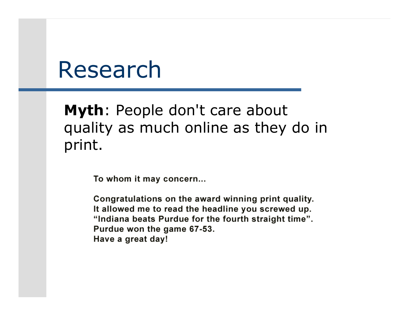### Research

**Myth**: People don't care about quality as much online as they do in print.

To whom it may concern...

Congratulations on the award winning print quality. It allowed me to read the headline you screwed up. "Indiana beats Purdue for the fourth straight time". Purdue won the game 67-53. Have a great day!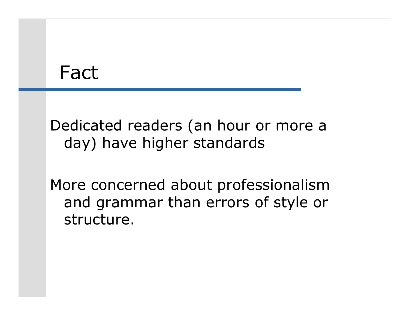#### Fact

Dedicated readers (an hour or more a day) have higher standards

More concerned about professionalism and grammar than errors of style or structure.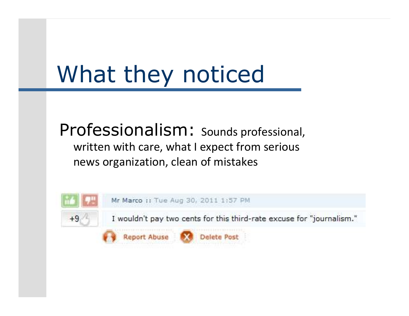# What they noticed

Professionalism: Sounds professional, written with care, what I expect from serious news organization, clean of mistakes

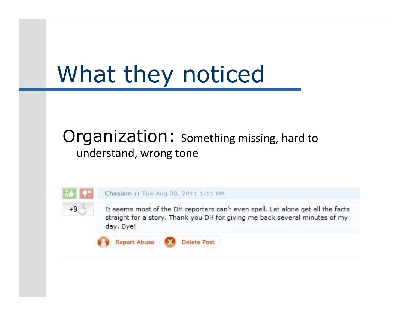# What they noticed

#### Organization: Something missing, hard to understand, wrong tone

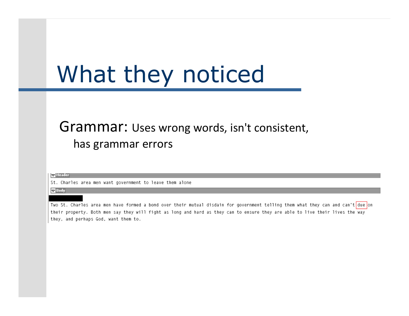## What they noticed

#### Grammar: Uses wrong words, isn't consistent, has grammar errors

│ v Header

St. Charles area men want government to leave them alone

 $\nabla$  Body

Two St. Charles area men have formed a bond over their mutual disdain for government telling them what they can and can't due on their property. Both men say they will fight as long and hard as they can to ensure they are able to live their lives the way they, and perhaps God, want them to.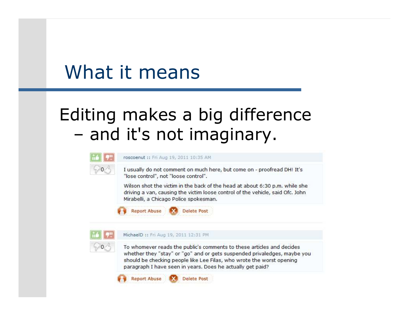#### What it means

# Editing makes a big difference and it's not imaginary.



I usually do not comment on much here, but come on - proofread DH! It's "lose control", not "loose control".

Wilson shot the victim in the back of the head at about 6:30 p.m. while she driving a van, causing the victim loose control of the vehicle, said Ofc. John Mirabelli, a Chicago Police spokesman.



#### MichaelD :: Fri Aug 19, 2011 12:31 PM

To whomever reads the public's comments to these articles and decides whether they "stay" or "go" and or gets suspended privaledges, maybe you should be checking people like Lee Filas, who wrote the worst opening paragraph I have seen in years. Does he actually get paid?

**Report Abuse Delete Post**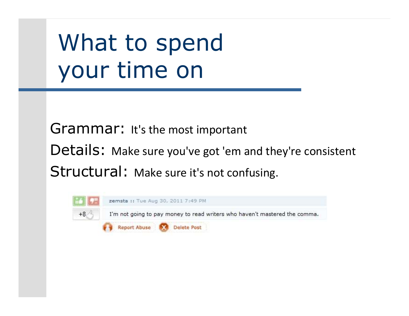# What to spendyour time on

Grammar: It's the most importantDetails: Make sure you've got 'em and they're consistent Structural: Make sure it's not confusing.

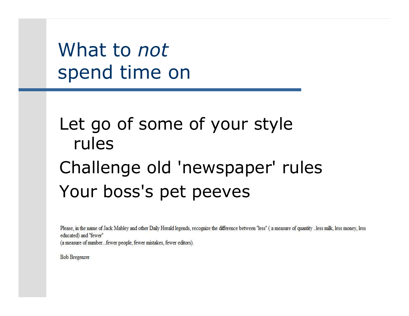What to *not*spend time on

#### Let go of some of your style rulesChallenge old 'newspaper' rulesYour boss's pet peeves

Please, in the name of Jack Mabley and other Daily Herald legends, recognize the difference between "less" (a measure of quantity ..less milk, less money, less educated) and "fewer" (a measure of number...fewer people, fewer mistakes, fewer editors).

**Bob Bregenzer**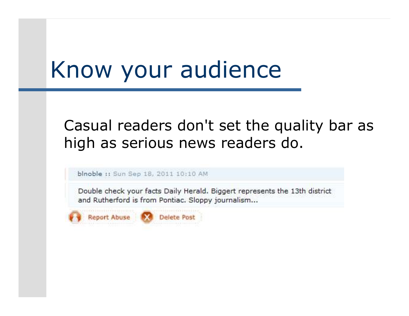## Know your audience

#### Casual readers don't set the quality bar as high as serious news readers do.

blnoble :: Sun Sep 18, 2011 10:10 AM

Double check your facts Daily Herald. Biggert represents the 13th district and Rutherford is from Pontiac. Sloppy journalism...

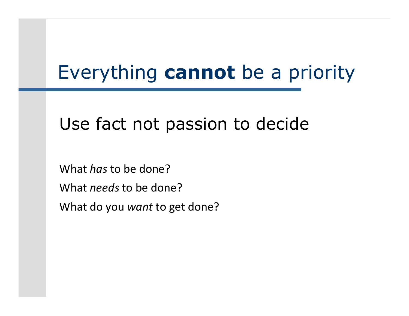# Everything **cannot** be a priority

#### Use fact not passion to decide

What *has* to be done?What *needs* to be done?What do you *want* to get done?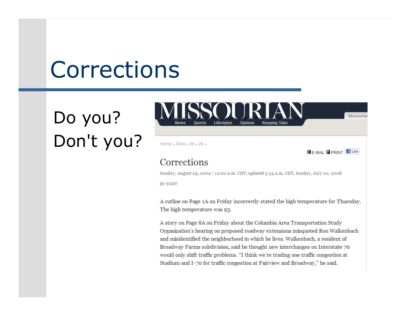## Corrections

#### Do you?Don't you?

**Opinion** 

Home » 2004 » 08 » 29 »

 $\overline{D}$  F-MAIL  $\overline{P}$  PRINT  $\overline{f}$  Like

Missouriar

#### Corrections

Sunday, August 29, 2004 | 12:00 a.m. CDT; updated 5:34 a.m. CDT, Sunday, July 20, 2008

**BY STAFF** 

A cutline on Page 1A on Friday incorrectly stated the high temperature for Thursday. The high temperature was 93.

A story on Page 8A on Friday about the Columbia Area Transportation Study Organization's hearing on proposed roadway extensions misquoted Ron Walkenbach and misidentified the neighborhood in which he lives. Walkenbach, a resident of Broadway Farms subdivision, said he thought new interchanges on Interstate 70 would only shift traffic problems. "I think we're trading one traffic congestion at Stadium and I-70 for traffic congestion at Fairview and Broadway," he said.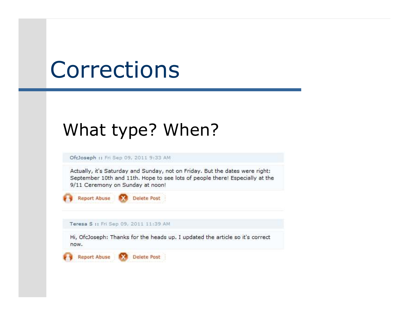## Corrections

#### What type? When?

OfcJoseph :: Fri Sep 09, 2011 9:33 AM

Actually, it's Saturday and Sunday, not on Friday. But the dates were right: September 10th and 11th. Hope to see lots of people there! Especially at the 9/11 Ceremony on Sunday at noon!



Teresa S :: Fri Sep 09, 2011 11:39 AM

Hi, OfcJoseph: Thanks for the heads up. I updated the article so it's correct now.

**Report Abuse** Delete Post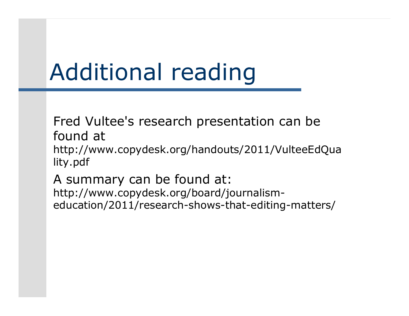# Additional reading

Fred Vultee's research presentation can be found at http://www.copydesk.org/handouts/2011/VulteeEdQuality.pdf

A summary can be found at: http://www.copydesk.org/board/journalismeducation/2011/research-shows-that-editing-matters/